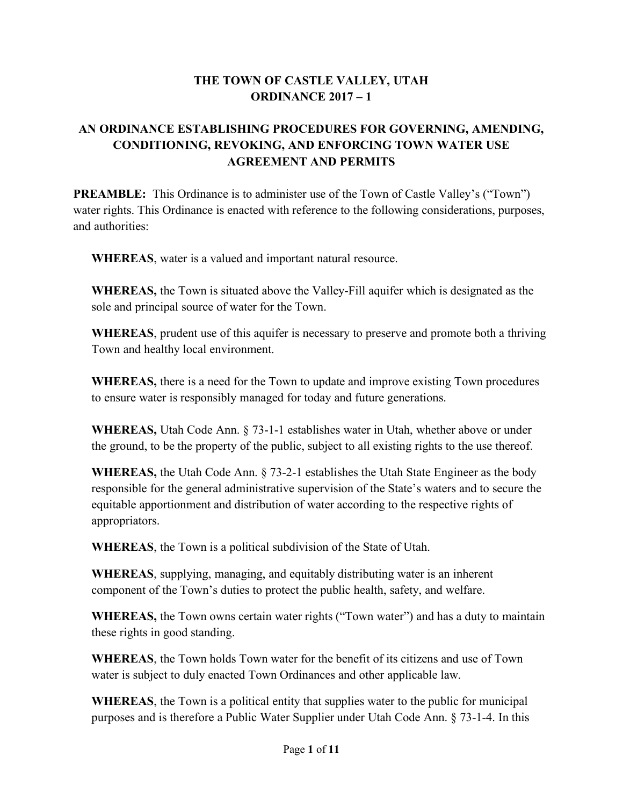#### **THE TOWN OF CASTLE VALLEY, UTAH ORDINANCE 2017 – 1**

# **AN ORDINANCE ESTABLISHING PROCEDURES FOR GOVERNING, AMENDING, CONDITIONING, REVOKING, AND ENFORCING TOWN WATER USE AGREEMENT AND PERMITS**

**PREAMBLE:** This Ordinance is to administer use of the Town of Castle Valley's ("Town") water rights. This Ordinance is enacted with reference to the following considerations, purposes, and authorities:

**WHEREAS**, water is a valued and important natural resource.

**WHEREAS,** the Town is situated above the Valley-Fill aquifer which is designated as the sole and principal source of water for the Town.

**WHEREAS**, prudent use of this aquifer is necessary to preserve and promote both a thriving Town and healthy local environment.

**WHEREAS,** there is a need for the Town to update and improve existing Town procedures to ensure water is responsibly managed for today and future generations.

**WHEREAS,** Utah Code Ann. § 73-1-1 establishes water in Utah, whether above or under the ground, to be the property of the public, subject to all existing rights to the use thereof.

**WHEREAS,** the Utah Code Ann. § 73-2-1 establishes the Utah State Engineer as the body responsible for the general administrative supervision of the State's waters and to secure the equitable apportionment and distribution of water according to the respective rights of appropriators.

**WHEREAS**, the Town is a political subdivision of the State of Utah.

**WHEREAS**, supplying, managing, and equitably distributing water is an inherent component of the Town's duties to protect the public health, safety, and welfare.

**WHEREAS,** the Town owns certain water rights ("Town water") and has a duty to maintain these rights in good standing.

**WHEREAS**, the Town holds Town water for the benefit of its citizens and use of Town water is subject to duly enacted Town Ordinances and other applicable law.

**WHEREAS**, the Town is a political entity that supplies water to the public for municipal purposes and is therefore a Public Water Supplier under Utah Code Ann. § 73-1-4. In this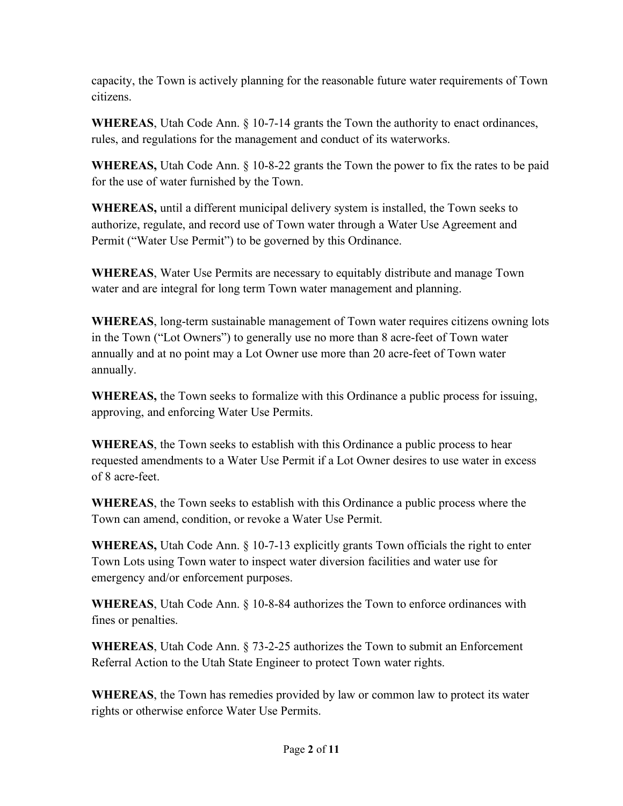capacity, the Town is actively planning for the reasonable future water requirements of Town citizens.

**WHEREAS**, Utah Code Ann. § 10-7-14 grants the Town the authority to enact ordinances, rules, and regulations for the management and conduct of its waterworks.

**WHEREAS,** Utah Code Ann. § 10-8-22 grants the Town the power to fix the rates to be paid for the use of water furnished by the Town.

**WHEREAS,** until a different municipal delivery system is installed, the Town seeks to authorize, regulate, and record use of Town water through a Water Use Agreement and Permit ("Water Use Permit") to be governed by this Ordinance.

**WHEREAS**, Water Use Permits are necessary to equitably distribute and manage Town water and are integral for long term Town water management and planning.

**WHEREAS**, long-term sustainable management of Town water requires citizens owning lots in the Town ("Lot Owners") to generally use no more than 8 acre-feet of Town water annually and at no point may a Lot Owner use more than 20 acre-feet of Town water annually.

**WHEREAS,** the Town seeks to formalize with this Ordinance a public process for issuing, approving, and enforcing Water Use Permits.

**WHEREAS**, the Town seeks to establish with this Ordinance a public process to hear requested amendments to a Water Use Permit if a Lot Owner desires to use water in excess of 8 acre-feet.

**WHEREAS**, the Town seeks to establish with this Ordinance a public process where the Town can amend, condition, or revoke a Water Use Permit.

**WHEREAS,** Utah Code Ann. § 10-7-13 explicitly grants Town officials the right to enter Town Lots using Town water to inspect water diversion facilities and water use for emergency and/or enforcement purposes.

**WHEREAS**, Utah Code Ann. § 10-8-84 authorizes the Town to enforce ordinances with fines or penalties.

**WHEREAS**, Utah Code Ann. § 73-2-25 authorizes the Town to submit an Enforcement Referral Action to the Utah State Engineer to protect Town water rights.

**WHEREAS**, the Town has remedies provided by law or common law to protect its water rights or otherwise enforce Water Use Permits.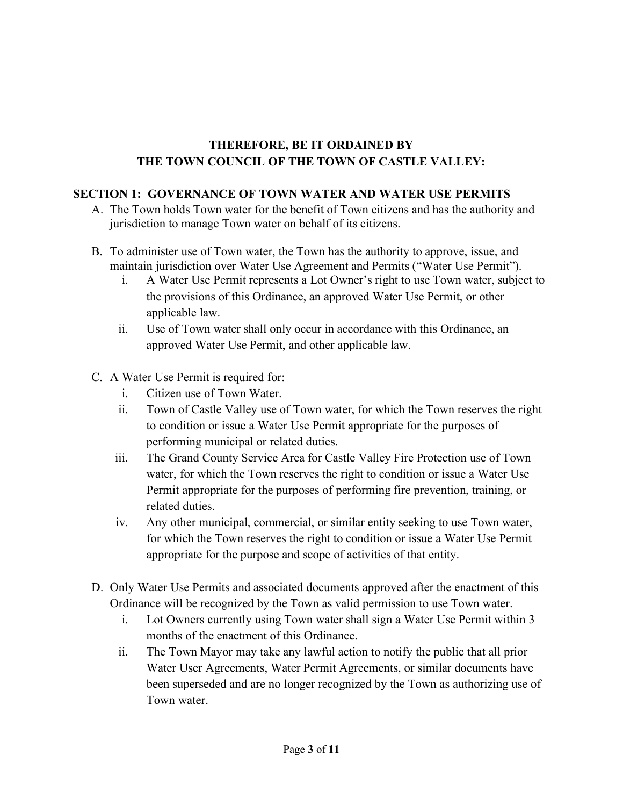#### **THEREFORE, BE IT ORDAINED BY THE TOWN COUNCIL OF THE TOWN OF CASTLE VALLEY:**

#### **SECTION 1: GOVERNANCE OF TOWN WATER AND WATER USE PERMITS**

- A. The Town holds Town water for the benefit of Town citizens and has the authority and jurisdiction to manage Town water on behalf of its citizens.
- B. To administer use of Town water, the Town has the authority to approve, issue, and maintain jurisdiction over Water Use Agreement and Permits ("Water Use Permit").
	- i. A Water Use Permit represents a Lot Owner's right to use Town water, subject to the provisions of this Ordinance, an approved Water Use Permit, or other applicable law.
	- ii. Use of Town water shall only occur in accordance with this Ordinance, an approved Water Use Permit, and other applicable law.
- C. A Water Use Permit is required for:
	- i. Citizen use of Town Water.
	- ii. Town of Castle Valley use of Town water, for which the Town reserves the right to condition or issue a Water Use Permit appropriate for the purposes of performing municipal or related duties.
	- iii. The Grand County Service Area for Castle Valley Fire Protection use of Town water, for which the Town reserves the right to condition or issue a Water Use Permit appropriate for the purposes of performing fire prevention, training, or related duties.
	- iv. Any other municipal, commercial, or similar entity seeking to use Town water, for which the Town reserves the right to condition or issue a Water Use Permit appropriate for the purpose and scope of activities of that entity.
- D. Only Water Use Permits and associated documents approved after the enactment of this Ordinance will be recognized by the Town as valid permission to use Town water.
	- i. Lot Owners currently using Town water shall sign a Water Use Permit within 3 months of the enactment of this Ordinance.
	- ii. The Town Mayor may take any lawful action to notify the public that all prior Water User Agreements, Water Permit Agreements, or similar documents have been superseded and are no longer recognized by the Town as authorizing use of Town water.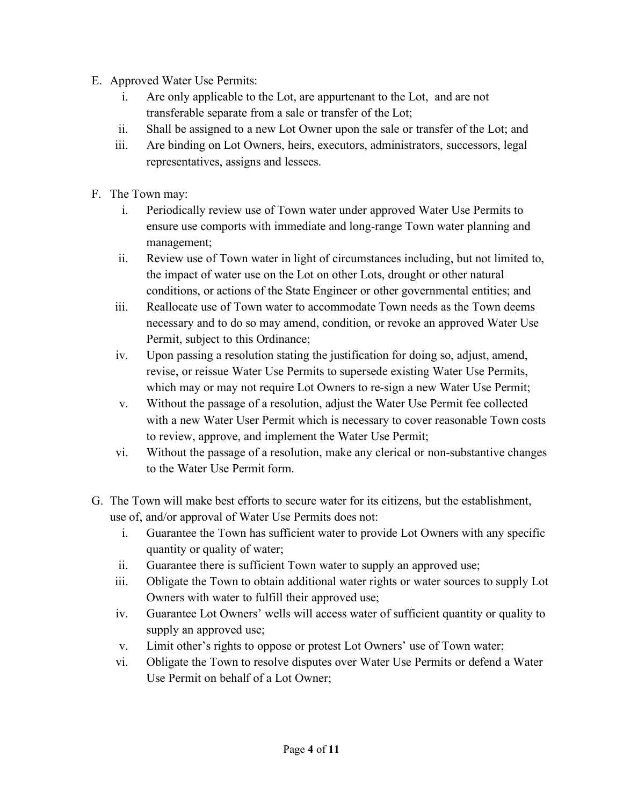- E. Approved Water Use Permits:
	- i. Are only applicable to the Lot, are appurtenant to the Lot, and are not transferable separate from a sale or transfer of the Lot;
	- ii. Shall be assigned to a new Lot Owner upon the sale or transfer of the Lot; and
	- iii. Are binding on Lot Owners, heirs, executors, administrators, successors, legal representatives, assigns and lessees.
- F. The Town may:
	- i. Periodically review use of Town water under approved Water Use Permits to ensure use comports with immediate and long-range Town water planning and management;
	- ii. Review use of Town water in light of circumstances including, but not limited to, the impact of water use on the Lot on other Lots, drought or other natural conditions, or actions of the State Engineer or other governmental entities; and
	- iii. Reallocate use of Town water to accommodate Town needs as the Town deems necessary and to do so may amend, condition, or revoke an approved Water Use Permit, subject to this Ordinance;
	- iv. Upon passing a resolution stating the justification for doing so, adjust, amend, revise, or reissue Water Use Permits to supersede existing Water Use Permits, which may or may not require Lot Owners to re-sign a new Water Use Permit;
	- v. Without the passage of a resolution, adjust the Water Use Permit fee collected with a new Water User Permit which is necessary to cover reasonable Town costs to review, approve, and implement the Water Use Permit;
	- vi. Without the passage of a resolution, make any clerical or non-substantive changes to the Water Use Permit form.
- G. The Town will make best efforts to secure water for its citizens, but the establishment, use of, and/or approval of Water Use Permits does not:
	- i. Guarantee the Town has sufficient water to provide Lot Owners with any specific quantity or quality of water;
	- ii. Guarantee there is sufficient Town water to supply an approved use;
	- iii. Obligate the Town to obtain additional water rights or water sources to supply Lot Owners with water to fulfill their approved use;
	- iv. Guarantee Lot Owners' wells will access water of sufficient quantity or quality to supply an approved use;
	- v. Limit other's rights to oppose or protest Lot Owners' use of Town water;
	- vi. Obligate the Town to resolve disputes over Water Use Permits or defend a Water Use Permit on behalf of a Lot Owner;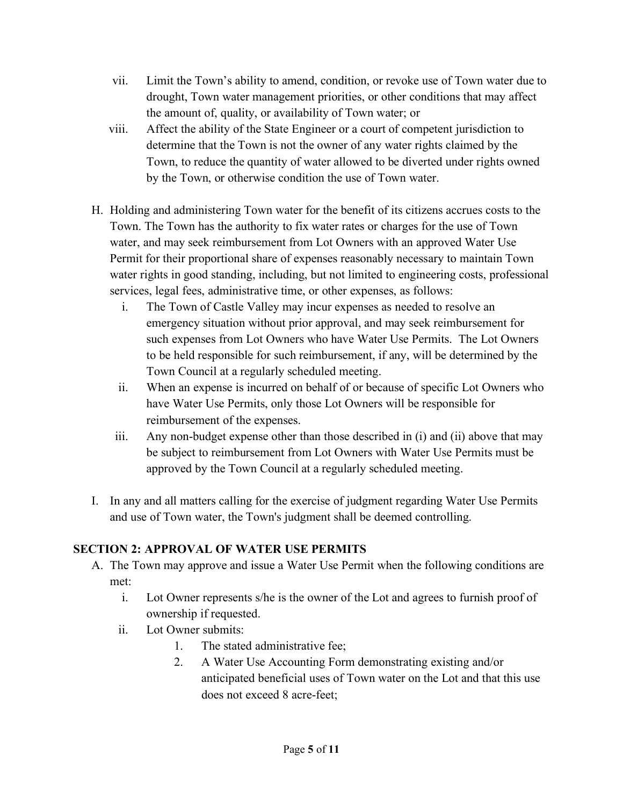- vii. Limit the Town's ability to amend, condition, or revoke use of Town water due to drought, Town water management priorities, or other conditions that may affect the amount of, quality, or availability of Town water; or
- viii. Affect the ability of the State Engineer or a court of competent jurisdiction to determine that the Town is not the owner of any water rights claimed by the Town, to reduce the quantity of water allowed to be diverted under rights owned by the Town, or otherwise condition the use of Town water.
- H. Holding and administering Town water for the benefit of its citizens accrues costs to the Town. The Town has the authority to fix water rates or charges for the use of Town water, and may seek reimbursement from Lot Owners with an approved Water Use Permit for their proportional share of expenses reasonably necessary to maintain Town water rights in good standing, including, but not limited to engineering costs, professional services, legal fees, administrative time, or other expenses, as follows:
	- i. The Town of Castle Valley may incur expenses as needed to resolve an emergency situation without prior approval, and may seek reimbursement for such expenses from Lot Owners who have Water Use Permits. The Lot Owners to be held responsible for such reimbursement, if any, will be determined by the Town Council at a regularly scheduled meeting.
	- ii. When an expense is incurred on behalf of or because of specific Lot Owners who have Water Use Permits, only those Lot Owners will be responsible for reimbursement of the expenses.
	- iii. Any non-budget expense other than those described in (i) and (ii) above that may be subject to reimbursement from Lot Owners with Water Use Permits must be approved by the Town Council at a regularly scheduled meeting.
- I. In any and all matters calling for the exercise of judgment regarding Water Use Permits and use of Town water, the Town's judgment shall be deemed controlling.

## **SECTION 2: APPROVAL OF WATER USE PERMITS**

- A. The Town may approve and issue a Water Use Permit when the following conditions are met:
	- i. Lot Owner represents s/he is the owner of the Lot and agrees to furnish proof of ownership if requested.
	- ii. Lot Owner submits:
		- 1. The stated administrative fee;
		- 2. A Water Use Accounting Form demonstrating existing and/or anticipated beneficial uses of Town water on the Lot and that this use does not exceed 8 acre-feet;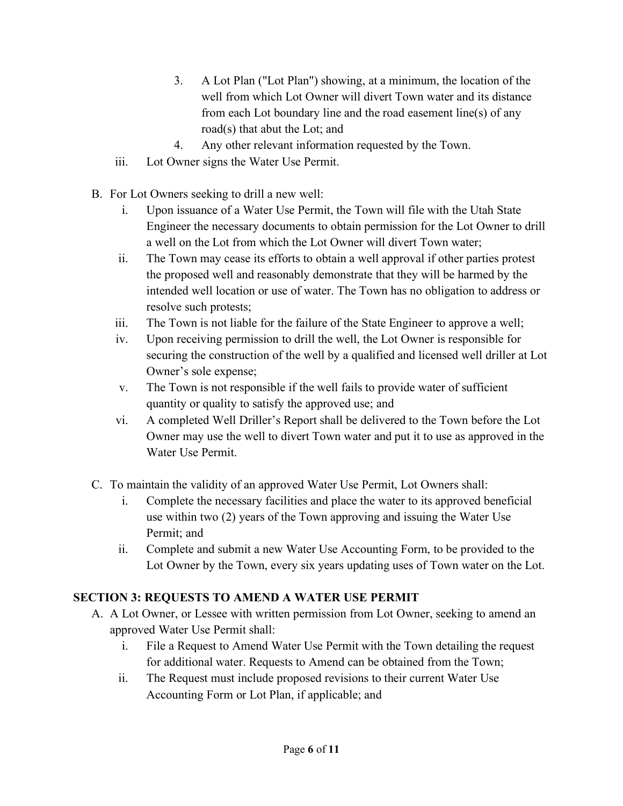- 3. A Lot Plan ("Lot Plan") showing, at a minimum, the location of the well from which Lot Owner will divert Town water and its distance from each Lot boundary line and the road easement line(s) of any road(s) that abut the Lot; and
- 4. Any other relevant information requested by the Town.
- iii. Lot Owner signs the Water Use Permit.
- B. For Lot Owners seeking to drill a new well:
	- i. Upon issuance of a Water Use Permit, the Town will file with the Utah State Engineer the necessary documents to obtain permission for the Lot Owner to drill a well on the Lot from which the Lot Owner will divert Town water;
	- ii. The Town may cease its efforts to obtain a well approval if other parties protest the proposed well and reasonably demonstrate that they will be harmed by the intended well location or use of water. The Town has no obligation to address or resolve such protests;
	- iii. The Town is not liable for the failure of the State Engineer to approve a well;
	- iv. Upon receiving permission to drill the well, the Lot Owner is responsible for securing the construction of the well by a qualified and licensed well driller at Lot Owner's sole expense;
	- v. The Town is not responsible if the well fails to provide water of sufficient quantity or quality to satisfy the approved use; and
	- vi. A completed Well Driller's Report shall be delivered to the Town before the Lot Owner may use the well to divert Town water and put it to use as approved in the Water Use Permit.
- C. To maintain the validity of an approved Water Use Permit, Lot Owners shall:
	- i. Complete the necessary facilities and place the water to its approved beneficial use within two (2) years of the Town approving and issuing the Water Use Permit; and
	- ii. Complete and submit a new Water Use Accounting Form, to be provided to the Lot Owner by the Town, every six years updating uses of Town water on the Lot.

## **SECTION 3: REQUESTS TO AMEND A WATER USE PERMIT**

- A. A Lot Owner, or Lessee with written permission from Lot Owner, seeking to amend an approved Water Use Permit shall:
	- i. File a Request to Amend Water Use Permit with the Town detailing the request for additional water. Requests to Amend can be obtained from the Town;
	- ii. The Request must include proposed revisions to their current Water Use Accounting Form or Lot Plan, if applicable; and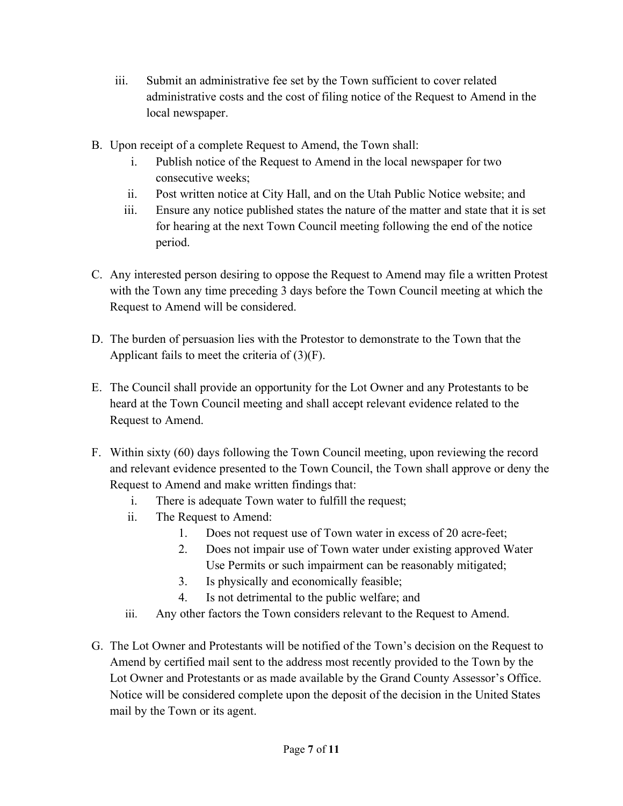- iii. Submit an administrative fee set by the Town sufficient to cover related administrative costs and the cost of filing notice of the Request to Amend in the local newspaper.
- B. Upon receipt of a complete Request to Amend, the Town shall:
	- i. Publish notice of the Request to Amend in the local newspaper for two consecutive weeks;
	- ii. Post written notice at City Hall, and on the Utah Public Notice website; and
	- iii. Ensure any notice published states the nature of the matter and state that it is set for hearing at the next Town Council meeting following the end of the notice period.
- C. Any interested person desiring to oppose the Request to Amend may file a written Protest with the Town any time preceding 3 days before the Town Council meeting at which the Request to Amend will be considered.
- D. The burden of persuasion lies with the Protestor to demonstrate to the Town that the Applicant fails to meet the criteria of  $(3)(F)$ .
- E. The Council shall provide an opportunity for the Lot Owner and any Protestants to be heard at the Town Council meeting and shall accept relevant evidence related to the Request to Amend.
- F. Within sixty (60) days following the Town Council meeting, upon reviewing the record and relevant evidence presented to the Town Council, the Town shall approve or deny the Request to Amend and make written findings that:
	- i. There is adequate Town water to fulfill the request;
	- ii. The Request to Amend:
		- 1. Does not request use of Town water in excess of 20 acre-feet;
		- 2. Does not impair use of Town water under existing approved Water Use Permits or such impairment can be reasonably mitigated;
		- 3. Is physically and economically feasible;
		- 4. Is not detrimental to the public welfare; and
	- iii. Any other factors the Town considers relevant to the Request to Amend.
- G. The Lot Owner and Protestants will be notified of the Town's decision on the Request to Amend by certified mail sent to the address most recently provided to the Town by the Lot Owner and Protestants or as made available by the Grand County Assessor's Office. Notice will be considered complete upon the deposit of the decision in the United States mail by the Town or its agent.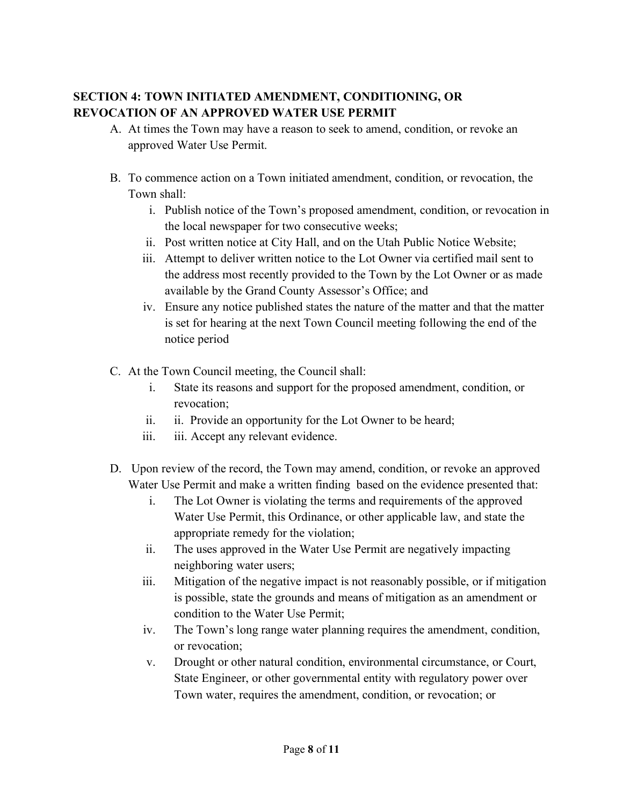## **SECTION 4: TOWN INITIATED AMENDMENT, CONDITIONING, OR REVOCATION OF AN APPROVED WATER USE PERMIT**

- A. At times the Town may have a reason to seek to amend, condition, or revoke an approved Water Use Permit.
- B. To commence action on a Town initiated amendment, condition, or revocation, the Town shall:
	- i. Publish notice of the Town's proposed amendment, condition, or revocation in the local newspaper for two consecutive weeks;
	- ii. Post written notice at City Hall, and on the Utah Public Notice Website;
	- iii. Attempt to deliver written notice to the Lot Owner via certified mail sent to the address most recently provided to the Town by the Lot Owner or as made available by the Grand County Assessor's Office; and
	- iv. Ensure any notice published states the nature of the matter and that the matter is set for hearing at the next Town Council meeting following the end of the notice period
- C. At the Town Council meeting, the Council shall:
	- i. State its reasons and support for the proposed amendment, condition, or revocation;
	- ii. ii. Provide an opportunity for the Lot Owner to be heard;
	- iii. iii. Accept any relevant evidence.
- D. Upon review of the record, the Town may amend, condition, or revoke an approved Water Use Permit and make a written finding based on the evidence presented that:
	- i. The Lot Owner is violating the terms and requirements of the approved Water Use Permit, this Ordinance, or other applicable law, and state the appropriate remedy for the violation;
	- ii. The uses approved in the Water Use Permit are negatively impacting neighboring water users;
	- iii. Mitigation of the negative impact is not reasonably possible, or if mitigation is possible, state the grounds and means of mitigation as an amendment or condition to the Water Use Permit;
	- iv. The Town's long range water planning requires the amendment, condition, or revocation;
	- v. Drought or other natural condition, environmental circumstance, or Court, State Engineer, or other governmental entity with regulatory power over Town water, requires the amendment, condition, or revocation; or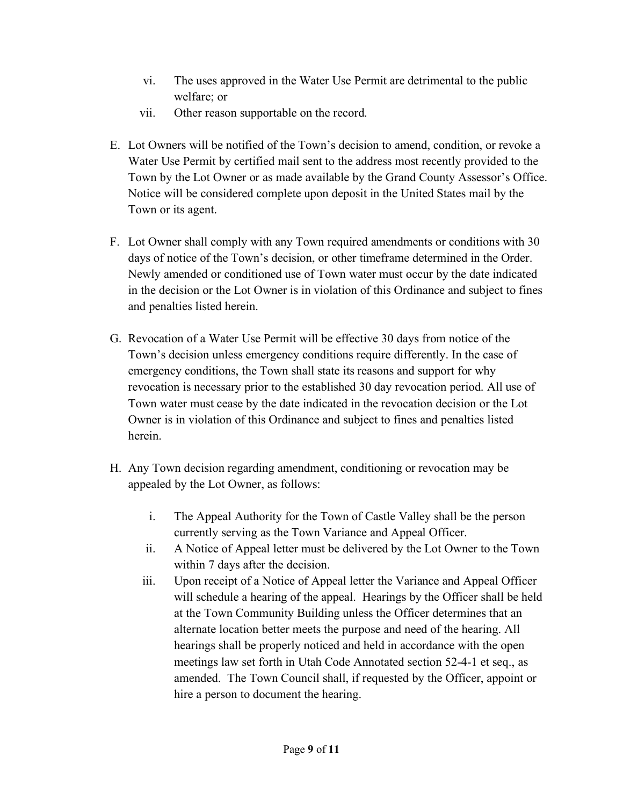- vi. The uses approved in the Water Use Permit are detrimental to the public welfare; or
- vii. Other reason supportable on the record.
- E. Lot Owners will be notified of the Town's decision to amend, condition, or revoke a Water Use Permit by certified mail sent to the address most recently provided to the Town by the Lot Owner or as made available by the Grand County Assessor's Office. Notice will be considered complete upon deposit in the United States mail by the Town or its agent.
- F. Lot Owner shall comply with any Town required amendments or conditions with 30 days of notice of the Town's decision, or other timeframe determined in the Order. Newly amended or conditioned use of Town water must occur by the date indicated in the decision or the Lot Owner is in violation of this Ordinance and subject to fines and penalties listed herein.
- G. Revocation of a Water Use Permit will be effective 30 days from notice of the Town's decision unless emergency conditions require differently. In the case of emergency conditions, the Town shall state its reasons and support for why revocation is necessary prior to the established 30 day revocation period. All use of Town water must cease by the date indicated in the revocation decision or the Lot Owner is in violation of this Ordinance and subject to fines and penalties listed herein.
- H. Any Town decision regarding amendment, conditioning or revocation may be appealed by the Lot Owner, as follows:
	- i. The Appeal Authority for the Town of Castle Valley shall be the person currently serving as the Town Variance and Appeal Officer.
	- ii. A Notice of Appeal letter must be delivered by the Lot Owner to the Town within 7 days after the decision.
	- iii. Upon receipt of a Notice of Appeal letter the Variance and Appeal Officer will schedule a hearing of the appeal. Hearings by the Officer shall be held at the Town Community Building unless the Officer determines that an alternate location better meets the purpose and need of the hearing. All hearings shall be properly noticed and held in accordance with the open meetings law set forth in Utah Code Annotated section 52-4-1 et seq., as amended. The Town Council shall, if requested by the Officer, appoint or hire a person to document the hearing.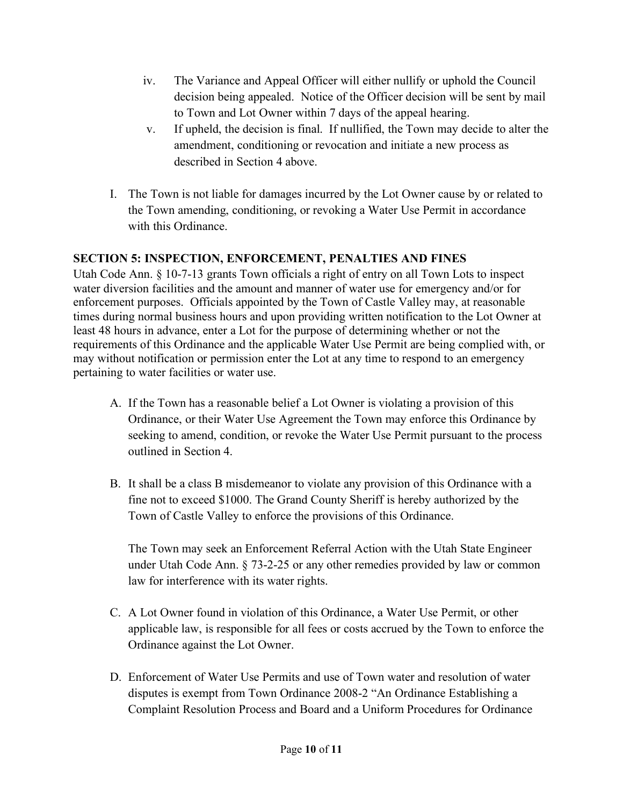- iv. The Variance and Appeal Officer will either nullify or uphold the Council decision being appealed. Notice of the Officer decision will be sent by mail to Town and Lot Owner within 7 days of the appeal hearing.
- v. If upheld, the decision is final. If nullified, the Town may decide to alter the amendment, conditioning or revocation and initiate a new process as described in Section 4 above.
- I. The Town is not liable for damages incurred by the Lot Owner cause by or related to the Town amending, conditioning, or revoking a Water Use Permit in accordance with this Ordinance.

## **SECTION 5: INSPECTION, ENFORCEMENT, PENALTIES AND FINES**

Utah Code Ann. § 10-7-13 grants Town officials a right of entry on all Town Lots to inspect water diversion facilities and the amount and manner of water use for emergency and/or for enforcement purposes. Officials appointed by the Town of Castle Valley may, at reasonable times during normal business hours and upon providing written notification to the Lot Owner at least 48 hours in advance, enter a Lot for the purpose of determining whether or not the requirements of this Ordinance and the applicable Water Use Permit are being complied with, or may without notification or permission enter the Lot at any time to respond to an emergency pertaining to water facilities or water use.

- A. If the Town has a reasonable belief a Lot Owner is violating a provision of this Ordinance, or their Water Use Agreement the Town may enforce this Ordinance by seeking to amend, condition, or revoke the Water Use Permit pursuant to the process outlined in Section 4.
- B. It shall be a class B misdemeanor to violate any provision of this Ordinance with a fine not to exceed \$1000. The Grand County Sheriff is hereby authorized by the Town of Castle Valley to enforce the provisions of this Ordinance.

The Town may seek an Enforcement Referral Action with the Utah State Engineer under Utah Code Ann. § 73-2-25 or any other remedies provided by law or common law for interference with its water rights.

- C. A Lot Owner found in violation of this Ordinance, a Water Use Permit, or other applicable law, is responsible for all fees or costs accrued by the Town to enforce the Ordinance against the Lot Owner.
- D. Enforcement of Water Use Permits and use of Town water and resolution of water disputes is exempt from Town Ordinance 2008-2 "An Ordinance Establishing a Complaint Resolution Process and Board and a Uniform Procedures for Ordinance